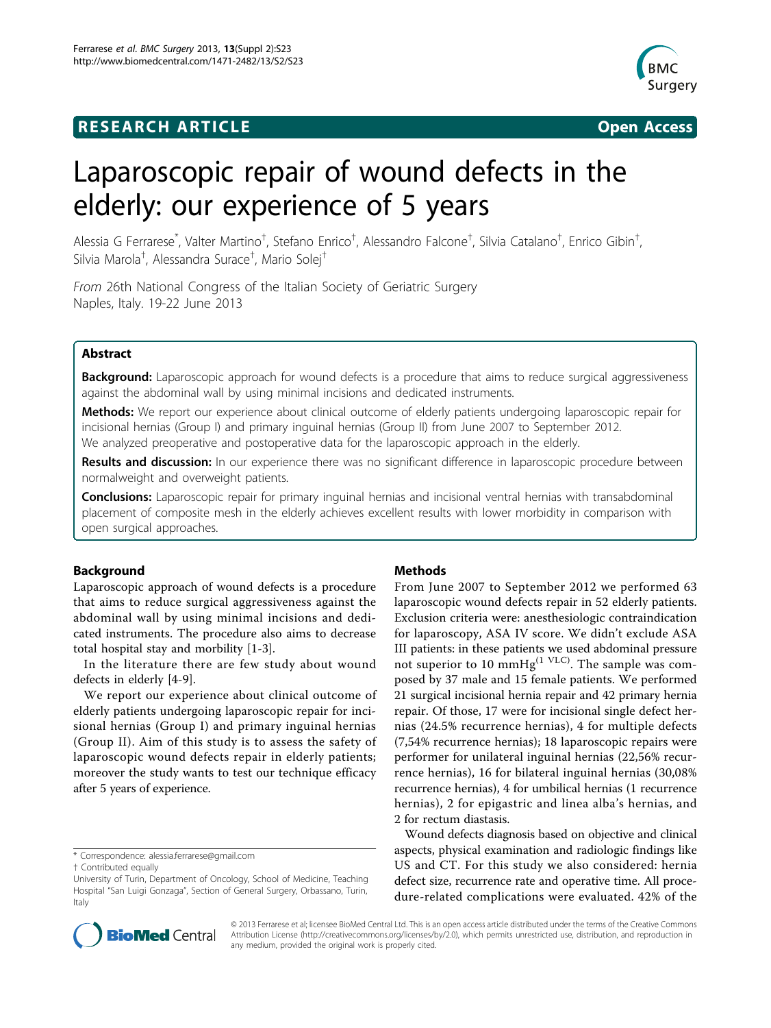# **RESEARCH ARTICLE Example 2014 CONSUMING A CONSUMING A CONSUMING A CONSUMING A CONSUMING A CONSUMING A CONSUMING A CONSUMING A CONSUMING A CONSUMING A CONSUMING A CONSUMING A CONSUMING A CONSUMING A CONSUMING A CONSUMI**





# Laparoscopic repair of wound defects in the elderly: our experience of 5 years

Alessia G Ferrarese<sup>\*</sup>, Valter Martino<sup>†</sup>, Stefano Enrico<sup>†</sup>, Alessandro Falcone<sup>†</sup>, Silvia Catalano<sup>†</sup>, Enrico Gibin<sup>†</sup> , Silvia Marola† , Alessandra Surace† , Mario Solej†

From 26th National Congress of the Italian Society of Geriatric Surgery Naples, Italy. 19-22 June 2013

# Abstract

Background: Laparoscopic approach for wound defects is a procedure that aims to reduce surgical aggressiveness against the abdominal wall by using minimal incisions and dedicated instruments.

Methods: We report our experience about clinical outcome of elderly patients undergoing laparoscopic repair for incisional hernias (Group I) and primary inguinal hernias (Group II) from June 2007 to September 2012. We analyzed preoperative and postoperative data for the laparoscopic approach in the elderly.

Results and discussion: In our experience there was no significant difference in laparoscopic procedure between normalweight and overweight patients.

**Conclusions:** Laparoscopic repair for primary inguinal hernias and incisional ventral hernias with transabdominal placement of composite mesh in the elderly achieves excellent results with lower morbidity in comparison with open surgical approaches.

#### Background

Laparoscopic approach of wound defects is a procedure that aims to reduce surgical aggressiveness against the abdominal wall by using minimal incisions and dedicated instruments. The procedure also aims to decrease total hospital stay and morbility [\[1-3](#page-1-0)].

In the literature there are few study about wound defects in elderly [[4-9\]](#page-1-0).

We report our experience about clinical outcome of elderly patients undergoing laparoscopic repair for incisional hernias (Group I) and primary inguinal hernias (Group II). Aim of this study is to assess the safety of laparoscopic wound defects repair in elderly patients; moreover the study wants to test our technique efficacy after 5 years of experience.

#### Methods

From June 2007 to September 2012 we performed 63 laparoscopic wound defects repair in 52 elderly patients. Exclusion criteria were: anesthesiologic contraindication for laparoscopy, ASA IV score. We didn't exclude ASA III patients: in these patients we used abdominal pressure not superior to 10 mmHg<sup>(1 VLC)</sup>. The sample was composed by 37 male and 15 female patients. We performed 21 surgical incisional hernia repair and 42 primary hernia repair. Of those, 17 were for incisional single defect hernias (24.5% recurrence hernias), 4 for multiple defects (7,54% recurrence hernias); 18 laparoscopic repairs were performer for unilateral inguinal hernias (22,56% recurrence hernias), 16 for bilateral inguinal hernias (30,08% recurrence hernias), 4 for umbilical hernias (1 recurrence hernias), 2 for epigastric and linea alba's hernias, and 2 for rectum diastasis.

Wound defects diagnosis based on objective and clinical aspects, physical examination and radiologic findings like US and CT. For this study we also considered: hernia defect size, recurrence rate and operative time. All procedure-related complications were evaluated. 42% of the



© 2013 Ferrarese et al; licensee BioMed Central Ltd. This is an open access article distributed under the terms of the Creative Commons Attribution License [\(http://creativecommons.org/licenses/by/2.0](http://creativecommons.org/licenses/by/2.0)), which permits unrestricted use, distribution, and reproduction in any medium, provided the original work is properly cited.

<sup>\*</sup> Correspondence: [alessia.ferrarese@gmail.com](mailto:alessia.ferrarese@gmail.com)

<sup>†</sup> Contributed equally

University of Turin, Department of Oncology, School of Medicine, Teaching Hospital "San Luigi Gonzaga", Section of General Surgery, Orbassano, Turin, Italy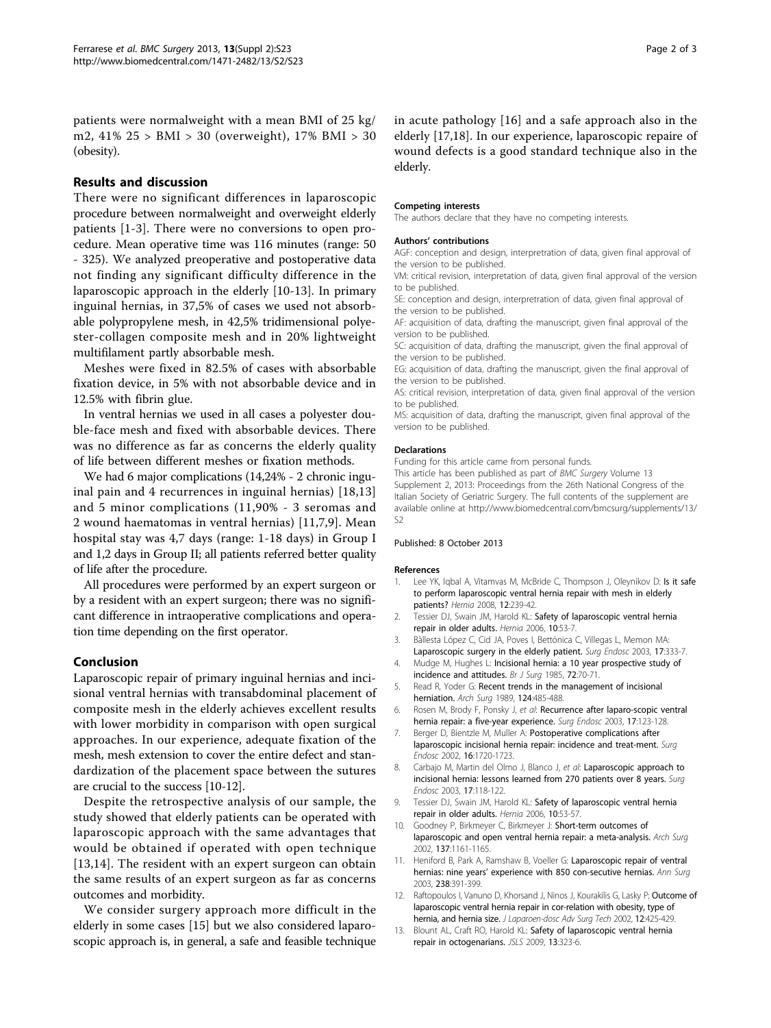<span id="page-1-0"></span>patients were normalweight with a mean BMI of 25 kg/ m2, 41% 25 > BMI > 30 (overweight), 17% BMI > 30 (obesity).

# Results and discussion

There were no significant differences in laparoscopic procedure between normalweight and overweight elderly patients [1-3]. There were no conversions to open procedure. Mean operative time was 116 minutes (range: 50 - 325). We analyzed preoperative and postoperative data not finding any significant difficulty difference in the laparoscopic approach in the elderly [10-13]. In primary inguinal hernias, in 37,5% of cases we used not absorbable polypropylene mesh, in 42,5% tridimensional polyester-collagen composite mesh and in 20% lightweight multifilament partly absorbable mesh.

Meshes were fixed in 82.5% of cases with absorbable fixation device, in 5% with not absorbable device and in 12.5% with fibrin glue.

In ventral hernias we used in all cases a polyester double-face mesh and fixed with absorbable devices. There was no difference as far as concerns the elderly quality of life between different meshes or fixation methods.

We had 6 major complications (14,24% - 2 chronic inguinal pain and 4 recurrences in inguinal hernias) [[18,](#page-2-0)13] and 5 minor complications (11,90% - 3 seromas and 2 wound haematomas in ventral hernias) [11,7,9]. Mean hospital stay was 4,7 days (range: 1-18 days) in Group I and 1,2 days in Group II; all patients referred better quality of life after the procedure.

All procedures were performed by an expert surgeon or by a resident with an expert surgeon; there was no significant difference in intraoperative complications and operation time depending on the first operator.

# Conclusion

Laparoscopic repair of primary inguinal hernias and incisional ventral hernias with transabdominal placement of composite mesh in the elderly achieves excellent results with lower morbidity in comparison with open surgical approaches. In our experience, adequate fixation of the mesh, mesh extension to cover the entire defect and standardization of the placement space between the sutures are crucial to the success [10-12].

Despite the retrospective analysis of our sample, the study showed that elderly patients can be operated with laparoscopic approach with the same advantages that would be obtained if operated with open technique [13[,14](#page-2-0)]. The resident with an expert surgeon can obtain the same results of an expert surgeon as far as concerns outcomes and morbidity.

We consider surgery approach more difficult in the elderly in some cases [\[15\]](#page-2-0) but we also considered laparoscopic approach is, in general, a safe and feasible technique in acute pathology [[16\]](#page-2-0) and a safe approach also in the elderly [\[17,18\]](#page-2-0). In our experience, laparoscopic repaire of wound defects is a good standard technique also in the elderly.

#### Competing interests

The authors declare that they have no competing interests.

#### Authors' contributions

AGF: conception and design, interpretration of data, given final approval of the version to be published.

VM: critical revision, interpretation of data, given final approval of the version to be published.

SE: conception and design, interpretration of data, given final approval of the version to be published.

AF: acquisition of data, drafting the manuscript, given final approval of the version to be published.

SC: acquisition of data, drafting the manuscript, given the final approval of the version to be published.

EG: acquisition of data, drafting the manuscript, given the final approval of the version to be published.

AS: critical revision, interpretation of data, given final approval of the version to be published.

MS: acquisition of data, drafting the manuscript, given final approval of the version to be published.

#### **Declarations**

Funding for this article came from personal funds.

This article has been published as part of BMC Surgery Volume 13 Supplement 2, 2013: Proceedings from the 26th National Congress of the Italian Society of Geriatric Surgery. The full contents of the supplement are available online at [http://www.biomedcentral.com/bmcsurg/supplements/13/](http://www.biomedcentral.com/bmcsurg/supplements/13/S2) [S2](http://www.biomedcentral.com/bmcsurg/supplements/13/S2)

#### Published: 8 October 2013

#### References

- 1. Lee YK, Iqbal A, Vitamvas M, McBride C, Thompson J, Oleynikov D: [Is it safe](http://www.ncbi.nlm.nih.gov/pubmed/18066489?dopt=Abstract) [to perform laparoscopic ventral hernia repair with mesh in elderly](http://www.ncbi.nlm.nih.gov/pubmed/18066489?dopt=Abstract) [patients?](http://www.ncbi.nlm.nih.gov/pubmed/18066489?dopt=Abstract) Hernia 2008, 12:239-42.
- 2. Tessier DJ, Swain JM, Harold KL: [Safety of laparoscopic ventral hernia](http://www.ncbi.nlm.nih.gov/pubmed/16496076?dopt=Abstract) [repair in older adults.](http://www.ncbi.nlm.nih.gov/pubmed/16496076?dopt=Abstract) Hernia 2006, 10:53-7.
- 3. Bàllesta López C, Cid JA, Poves I, Bettónica C, Villegas L, Memon MA:
- [Laparoscopic surgery in the elderly patient.](http://www.ncbi.nlm.nih.gov/pubmed/12364996?dopt=Abstract) Surg Endosc 2003, 17:333-7. 4. Mudge M, Hughes L: [Incisional hernia: a 10 year prospective study of](http://www.ncbi.nlm.nih.gov/pubmed/3155634?dopt=Abstract)
- [incidence and attitudes.](http://www.ncbi.nlm.nih.gov/pubmed/3155634?dopt=Abstract) Br J Surg 1985, 72:70-71. 5. Read R, Yoder G: [Recent trends in the management of incisional](http://www.ncbi.nlm.nih.gov/pubmed/2649047?dopt=Abstract) [herniation.](http://www.ncbi.nlm.nih.gov/pubmed/2649047?dopt=Abstract) Arch Surg 1989, 124:485-488.
- 6. Rosen M, Brody F, Ponsky J, et al: [Recurrence after laparo-scopic ventral](http://www.ncbi.nlm.nih.gov/pubmed/12360375?dopt=Abstract) [hernia repair: a five-year experience.](http://www.ncbi.nlm.nih.gov/pubmed/12360375?dopt=Abstract) Surg Endosc 2003, 17:123-128.
- 7. Berger D, Bientzle M, Muller A: [Postoperative complications after](http://www.ncbi.nlm.nih.gov/pubmed/12209325?dopt=Abstract) [laparoscopic incisional hernia repair: incidence and treat-ment.](http://www.ncbi.nlm.nih.gov/pubmed/12209325?dopt=Abstract) Surg Endosc 2002, 16:1720-1723.
- 8. Carbajo M, Martin del Olmo J, Blanco J, et al: [Laparoscopic approach to](http://www.ncbi.nlm.nih.gov/pubmed/12399849?dopt=Abstract) [incisional hernia: lessons learned from 270 patients over 8 years.](http://www.ncbi.nlm.nih.gov/pubmed/12399849?dopt=Abstract) Surg Endosc 2003, 17:118-122.
- 9. Tessier DJ, Swain JM, Harold KL: [Safety of laparoscopic ventral hernia](http://www.ncbi.nlm.nih.gov/pubmed/16496076?dopt=Abstract) [repair in older adults.](http://www.ncbi.nlm.nih.gov/pubmed/16496076?dopt=Abstract) Hernia 2006, 10:53-57.
- 10. Goodney P, Birkmeyer C, Birkmeyer J: [Short-term outcomes of](http://www.ncbi.nlm.nih.gov/pubmed/12361426?dopt=Abstract) [laparoscopic and open ventral hernia repair: a meta-analysis.](http://www.ncbi.nlm.nih.gov/pubmed/12361426?dopt=Abstract) Arch Surg 2002, 137:1161-1165.
- 11. Heniford B, Park A, Ramshaw B, Voeller G: [Laparoscopic repair of ventral](http://www.ncbi.nlm.nih.gov/pubmed/14501505?dopt=Abstract) hernias: nine years' [experience with 850 con-secutive hernias.](http://www.ncbi.nlm.nih.gov/pubmed/14501505?dopt=Abstract) Ann Surg 2003, 238:391-399.
- 12. Raftopoulos I, Vanuno D, Khorsand J, Ninos J, Kourakilis G, Lasky P: Outcome of laparoscopic ventral hernia repair in cor-relation with obesity, type of hernia, and hernia size. J Laparoen-dosc Adv Sura Tech 2002, 12:425-429.
- 13. Blount AL, Craft RO, Harold KL: [Safety of laparoscopic ventral hernia](http://www.ncbi.nlm.nih.gov/pubmed/19793470?dopt=Abstract) [repair in octogenarians.](http://www.ncbi.nlm.nih.gov/pubmed/19793470?dopt=Abstract) JSLS 2009, 13:323-6.